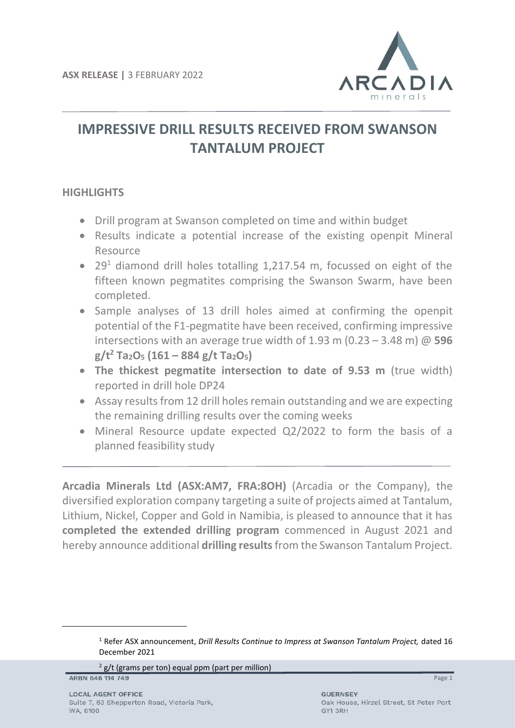

# **IMPRESSIVE DRILL RESULTS RECEIVED FROM SWANSON TANTALUM PROJECT**

# **HIGHLIGHTS**

- Drill program at Swanson completed on time and within budget
- Results indicate a potential increase of the existing openpit Mineral Resource
- 29<sup>1</sup> diamond drill holes totalling 1,217.54 m, focussed on eight of the fifteen known pegmatites comprising the Swanson Swarm, have been completed.
- Sample analyses of 13 drill holes aimed at confirming the openpit potential of the F1-pegmatite have been received, confirming impressive intersections with an average true width of 1.93 m (0.23 – 3.48 m) @ **596 g/t<sup>2</sup> Ta2O<sup>5</sup> (161 – 884 g/t Ta2O5)**
- **The thickest pegmatite intersection to date of 9.53 m** (true width) reported in drill hole DP24
- Assay results from 12 drill holes remain outstanding and we are expecting the remaining drilling results over the coming weeks
- Mineral Resource update expected Q2/2022 to form the basis of a planned feasibility study

**Arcadia Minerals Ltd (ASX:AM7, FRA:8OH)** (Arcadia or the Company), the diversified exploration company targeting a suite of projects aimed at Tantalum, Lithium, Nickel, Copper and Gold in Namibia, is pleased to announce that it has **completed the extended drilling program** commenced in August 2021 and hereby announce additional **drilling results**from the Swanson Tantalum Project.

 $2$  g/t (grams per ton) equal ppm (part per million)

ARBN 646 114 749

<sup>1</sup> Refer ASX announcement, *Drill Results Continue to Impress at Swanson Tantalum Project,* dated 16 December 2021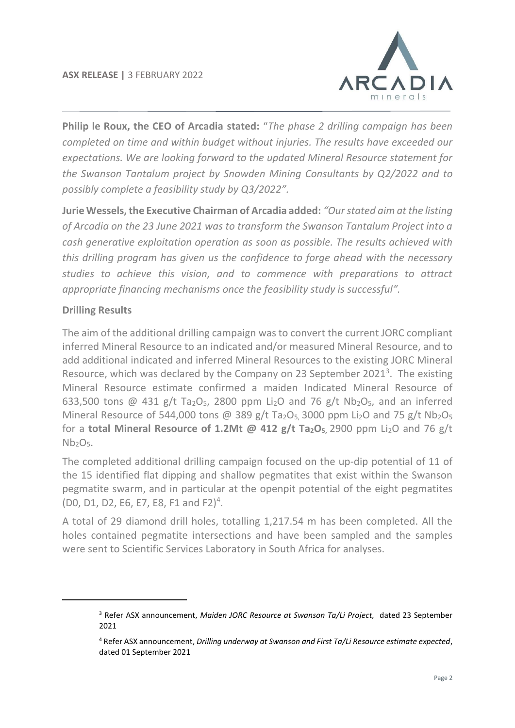

**Philip le Roux, the CEO of Arcadia stated:** "*The phase 2 drilling campaign has been completed on time and within budget without injuries. The results have exceeded our expectations. We are looking forward to the updated Mineral Resource statement for the Swanson Tantalum project by Snowden Mining Consultants by Q2/2022 and to possibly complete a feasibility study by Q3/2022".* 

**Jurie Wessels, the Executive Chairman of Arcadia added:** *"Our stated aim at the listing of Arcadia on the 23 June 2021 was to transform the Swanson Tantalum Project into a cash generative exploitation operation as soon as possible. The results achieved with this drilling program has given us the confidence to forge ahead with the necessary studies to achieve this vision, and to commence with preparations to attract appropriate financing mechanisms once the feasibility study is successful".*

# **Drilling Results**

The aim of the additional drilling campaign was to convert the current JORC compliant inferred Mineral Resource to an indicated and/or measured Mineral Resource, and to add additional indicated and inferred Mineral Resources to the existing JORC Mineral Resource, which was declared by the Company on 23 September 2021 $<sup>3</sup>$ . The existing</sup> Mineral Resource estimate confirmed a maiden Indicated Mineral Resource of 633,500 tons @ 431 g/t Ta<sub>2</sub>O<sub>5</sub>, 2800 ppm Li<sub>2</sub>O and 76 g/t Nb<sub>2</sub>O<sub>5</sub>, and an inferred Mineral Resource of 544,000 tons @ 389 g/t Ta<sub>2</sub>O<sub>5</sub>, 3000 ppm Li<sub>2</sub>O and 75 g/t Nb<sub>2</sub>O<sub>5</sub> for a **total Mineral Resource of 1.2Mt @ 412 g/t Ta2O5,** 2900 ppm Li2O and 76 g/t  $Nb<sub>2</sub>O<sub>5</sub>$ .

The completed additional drilling campaign focused on the up-dip potential of 11 of the 15 identified flat dipping and shallow pegmatites that exist within the Swanson pegmatite swarm, and in particular at the openpit potential of the eight pegmatites (D0, D1, D2, E6, E7, E8, F1 and F2) 4 .

A total of 29 diamond drill holes, totalling 1,217.54 m has been completed. All the holes contained pegmatite intersections and have been sampled and the samples were sent to Scientific Services Laboratory in South Africa for analyses.

<sup>3</sup> Refer ASX announcement, *Maiden JORC Resource at Swanson Ta/Li Project,* dated 23 September 2021

<sup>4</sup> Refer ASX announcement, *Drilling underway at Swanson and First Ta/Li Resource estimate expected*, dated 01 September 2021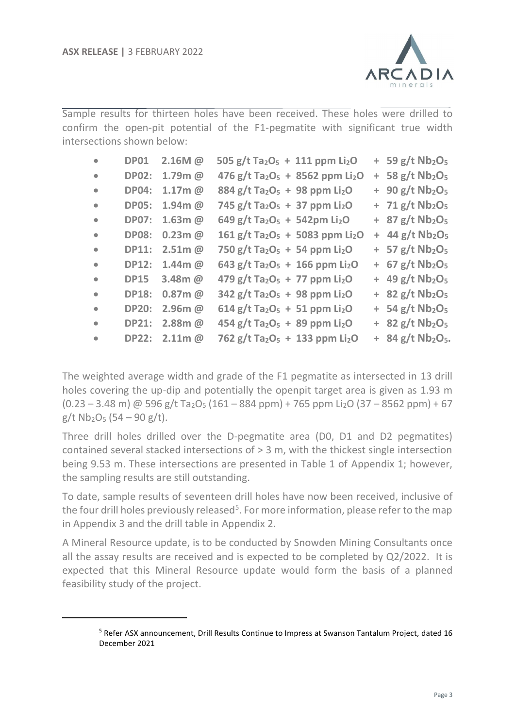

Sample results for thirteen holes have been received. These holes were drilled to confirm the open-pit potential of the F1-pegmatite with significant true width intersections shown below:

| $\bullet$ | <b>DP01</b>  | 2.16M @       | 505 g/t Ta <sub>2</sub> O <sub>5</sub> + 111 ppm Li <sub>2</sub> O  |  | $+$ 59 g/t Nb <sub>2</sub> O <sub>5</sub>   |
|-----------|--------------|---------------|---------------------------------------------------------------------|--|---------------------------------------------|
| $\bullet$ | <b>DP02:</b> | $1.79m$ @     | 476 g/t Ta <sub>2</sub> O <sub>5</sub> + 8562 ppm Li <sub>2</sub> O |  | $+$ 58 g/t Nb <sub>2</sub> O <sub>5</sub>   |
| $\bullet$ | <b>DP04:</b> | $1.17m$ @     | $884 g/t$ Ta <sub>2</sub> O <sub>5</sub> + 98 ppm Li <sub>2</sub> O |  | $+ 90 g/t Nb2O5$                            |
| $\bullet$ | <b>DP05:</b> | $1.94m$ @     | 745 g/t Ta <sub>2</sub> O <sub>5</sub> + 37 ppm Li <sub>2</sub> O   |  | $+ 71 g/t Nb2O5$                            |
| $\bullet$ | <b>DP07:</b> | $1.63m$ @     | 649 g/t Ta <sub>2</sub> O <sub>5</sub> + 542pm Li <sub>2</sub> O    |  | $+$ 87 g/t Nb <sub>2</sub> O <sub>5</sub>   |
| $\bullet$ | <b>DP08:</b> | $0.23m$ @     | 161 g/t Ta <sub>2</sub> O <sub>5</sub> + 5083 ppm Li <sub>2</sub> O |  | $+$ 44 g/t Nb <sub>2</sub> O <sub>5</sub>   |
| $\bullet$ | <b>DP11:</b> | $2.51m$ @     | 750 g/t Ta <sub>2</sub> O <sub>5</sub> + 54 ppm Li <sub>2</sub> O   |  | $+$ 57 g/t Nb <sub>2</sub> O <sub>5</sub>   |
| $\bullet$ | <b>DP12:</b> | $1.44$ m $@$  | 643 g/t Ta <sub>2</sub> O <sub>5</sub> + 166 ppm Li <sub>2</sub> O  |  | $+ 67 g/t Nb2O5$                            |
| $\bullet$ | <b>DP15</b>  | 3.48m @       | 479 g/t Ta <sub>2</sub> O <sub>5</sub> + 77 ppm Li <sub>2</sub> O   |  | $+$ 49 g/t Nb <sub>2</sub> O <sub>5</sub>   |
| $\bullet$ | <b>DP18:</b> | $0.87m$ @     | $342$ g/t Ta <sub>2</sub> O <sub>5</sub> + 98 ppm Li <sub>2</sub> O |  | $+$ 82 g/t Nb <sub>2</sub> O <sub>5</sub>   |
| $\bullet$ | <b>DP20:</b> | $2.96m$ @     | $614$ g/t Ta <sub>2</sub> O <sub>5</sub> + 51 ppm Li <sub>2</sub> O |  | $+$ 54 g/t Nb <sub>2</sub> O <sub>5</sub>   |
| $\bullet$ | <b>DP21:</b> | $2.88m$ @     | 454 g/t Ta <sub>2</sub> O <sub>5</sub> + 89 ppm Li <sub>2</sub> O   |  | $+$ 82 g/t Nb <sub>2</sub> O <sub>5</sub>   |
| $\bullet$ |              | DP22: 2.11m @ | 762 g/t Ta <sub>2</sub> O <sub>5</sub> + 133 ppm Li <sub>2</sub> O  |  | $+$ 84 g/t Nb <sub>2</sub> O <sub>5</sub> . |

The weighted average width and grade of the F1 pegmatite as intersected in 13 drill holes covering the up-dip and potentially the openpit target area is given as 1.93 m  $(0.23 - 3.48 \text{ m})$  @ 596 g/t Ta<sub>2</sub>O<sub>5</sub> (161 – 884 ppm) + 765 ppm Li<sub>2</sub>O (37 – 8562 ppm) + 67  $g/t$  Nb<sub>2</sub>O<sub>5</sub> (54 – 90 g/t).

Three drill holes drilled over the D-pegmatite area (D0, D1 and D2 pegmatites) contained several stacked intersections of > 3 m, with the thickest single intersection being 9.53 m. These intersections are presented in Table 1 of Appendix 1; however, the sampling results are still outstanding.

To date, sample results of seventeen drill holes have now been received, inclusive of the four drill holes previously released<sup>5</sup>. For more information, please refer to the map in Appendix 3 and the drill table in Appendix 2.

A Mineral Resource update, is to be conducted by Snowden Mining Consultants once all the assay results are received and is expected to be completed by Q2/2022. It is expected that this Mineral Resource update would form the basis of a planned feasibility study of the project.

<sup>5</sup> Refer ASX announcement, Drill Results Continue to Impress at Swanson Tantalum Project, dated 16 December 2021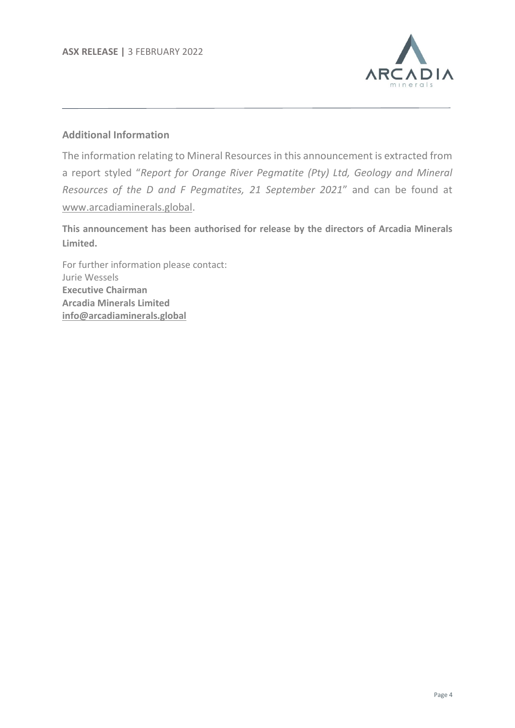

# **Additional Information**

The information relating to Mineral Resources in this announcement is extracted from a report styled "*Report for Orange River Pegmatite (Pty) Ltd, Geology and Mineral Resources of the D and F Pegmatites, 21 September 2021*" and can be found at [www.arcadiaminerals.global.](http://www.arcadiaminerals.global/)

**This announcement has been authorised for release by the directors of Arcadia Minerals Limited.**

For further information please contact: Jurie Wessels **Executive Chairman Arcadia Minerals Limited [info@arcadiaminerals.global](mailto:info@arcadiaminerals.global)**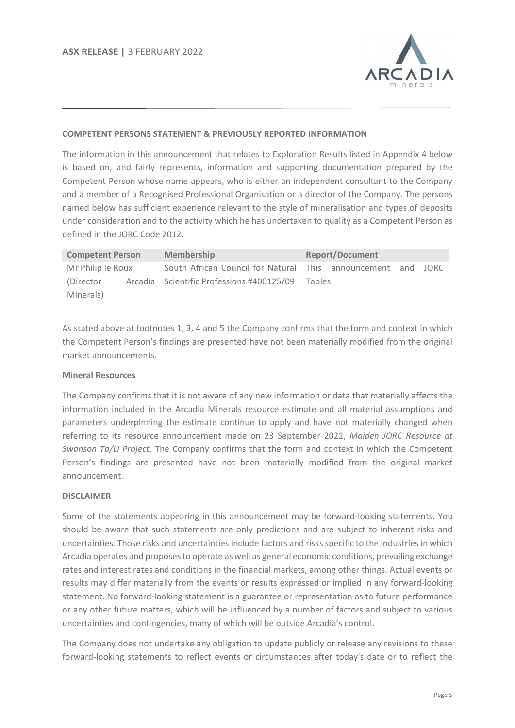

#### **COMPETENT PERSONS STATEMENT & PREVIOUSLY REPORTED INFORMATION**

The information in this announcement that relates to Exploration Results listed in Appendix 4 below is based on, and fairly represents, information and supporting documentation prepared by the Competent Person whose name appears, who is either an independent consultant to the Company and a member of a Recognised Professional Organisation or a director of the Company. The persons named below has sufficient experience relevant to the style of mineralisation and types of deposits under consideration and to the activity which he has undertaken to quality as a Competent Person as defined in the JORC Code 2012.

| <b>Competent Person</b> | <b>Membership</b>                                            | <b>Report/Document</b> |  |  |  |  |  |
|-------------------------|--------------------------------------------------------------|------------------------|--|--|--|--|--|
| Mr Philip le Roux       | South African Council for Natural This announcement and JORC |                        |  |  |  |  |  |
| (Director)              | Arcadia Scientific Professions #400125/09 Tables             |                        |  |  |  |  |  |
| Minerals)               |                                                              |                        |  |  |  |  |  |

As stated above at footnotes 1, 3, 4 and 5 the Company confirms that the form and context in which the Competent Person's findings are presented have not been materially modified from the original market announcements.

#### **Mineral Resources**

The Company confirms that it is not aware of any new information or data that materially affects the information included in the Arcadia Minerals resource estimate and all material assumptions and parameters underpinning the estimate continue to apply and have not materially changed when referring to its resource announcement made on 23 September 2021, *Maiden JORC Resource at Swanson Ta/Li Project*. The Company confirms that the form and context in which the Competent Person's findings are presented have not been materially modified from the original market announcement.

#### **DISCLAIMER**

Some of the statements appearing in this announcement may be forward-looking statements. You should be aware that such statements are only predictions and are subject to inherent risks and uncertainties. Those risks and uncertainties include factors and risks specific to the industries in which Arcadia operates and proposes to operate as well as general economic conditions, prevailing exchange rates and interest rates and conditions in the financial markets, among other things. Actual events or results may differ materially from the events or results expressed or implied in any forward-looking statement. No forward-looking statement is a guarantee or representation as to future performance or any other future matters, which will be influenced by a number of factors and subject to various uncertainties and contingencies, many of which will be outside Arcadia's control.

The Company does not undertake any obligation to update publicly or release any revisions to these forward-looking statements to reflect events or circumstances after today's date or to reflect the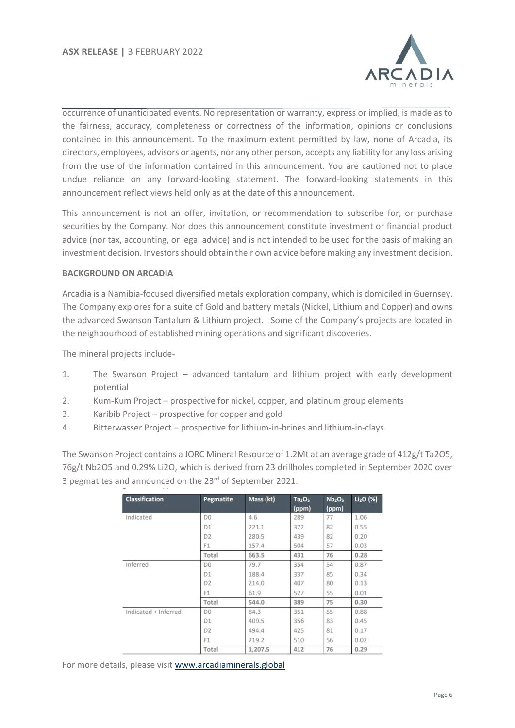

occurrence of unanticipated events. No representation or warranty, express or implied, is made as to the fairness, accuracy, completeness or correctness of the information, opinions or conclusions contained in this announcement. To the maximum extent permitted by law, none of Arcadia, its directors, employees, advisors or agents, nor any other person, accepts any liability for any loss arising from the use of the information contained in this announcement. You are cautioned not to place undue reliance on any forward-looking statement. The forward-looking statements in this announcement reflect views held only as at the date of this announcement.

This announcement is not an offer, invitation, or recommendation to subscribe for, or purchase securities by the Company. Nor does this announcement constitute investment or financial product advice (nor tax, accounting, or legal advice) and is not intended to be used for the basis of making an investment decision. Investors should obtain their own advice before making any investment decision.

#### **BACKGROUND ON ARCADIA**

Arcadia is a Namibia-focused diversified metals exploration company, which is domiciled in Guernsey. The Company explores for a suite of Gold and battery metals (Nickel, Lithium and Copper) and owns the advanced Swanson Tantalum & Lithium project. Some of the Company's projects are located in the neighbourhood of established mining operations and significant discoveries.

The mineral projects include-

- 1. The Swanson Project advanced tantalum and lithium project with early development potential
- 2. Kum-Kum Project prospective for nickel, copper, and platinum group elements
- 3. Karibib Project prospective for copper and gold
- 4. Bitterwasser Project prospective for lithium-in-brines and lithium-in-clays.

The Swanson Project contains a JORC Mineral Resource of 1.2Mt at an average grade of 412g/t Ta2O5, 76g/t Nb2O5 and 0.29% Li2O, which is derived from 23 drillholes completed in September 2020 over 3 pegmatites and announced on the 23<sup>rd</sup> of September 2021.

| <b>Classification</b> | <b>Pegmatite</b> | Mass (kt) | Ta <sub>2</sub> O <sub>5</sub><br>(ppm) | Nb <sub>2</sub> O <sub>5</sub><br>(ppm) | $Li2O$ (%) |
|-----------------------|------------------|-----------|-----------------------------------------|-----------------------------------------|------------|
| Indicated             | D <sub>0</sub>   | 4.6       | 289                                     | 77                                      | 1.06       |
|                       | D <sub>1</sub>   | 221.1     | 372                                     | 82                                      | 0.55       |
|                       | D <sub>2</sub>   | 280.5     | 439                                     | 82                                      | 0.20       |
|                       | F <sub>1</sub>   | 157.4     | 504                                     | 57                                      | 0.03       |
|                       | Total            | 663.5     | 431                                     | 76                                      | 0.28       |
| Inferred              | D <sub>0</sub>   | 79.7      | 354                                     | 54                                      | 0.87       |
|                       | D <sub>1</sub>   | 188.4     | 337                                     | 85                                      | 0.34       |
|                       | D <sub>2</sub>   | 214.0     | 407                                     | 80                                      | 0.13       |
|                       | F1               | 61.9      | 527                                     | 55                                      | 0.01       |
|                       | Total            | 544.0     | 389                                     | 75                                      | 0.30       |
| Indicated + Inferred  | D <sub>0</sub>   | 84.3      | 351                                     | 55                                      | 0.88       |
|                       | D <sub>1</sub>   | 409.5     | 356                                     | 83                                      | 0.45       |
|                       | D <sub>2</sub>   | 494.4     | 425                                     | 81                                      | 0.17       |
|                       | F1               | 219.2     | 510                                     | 56                                      | 0.02       |
|                       | Total            | 1.207.5   | 412                                     | 76                                      | 0.29       |

For more details, please visit [www.arcadiaminerals.global](http://www.arcadiaminerals.global/)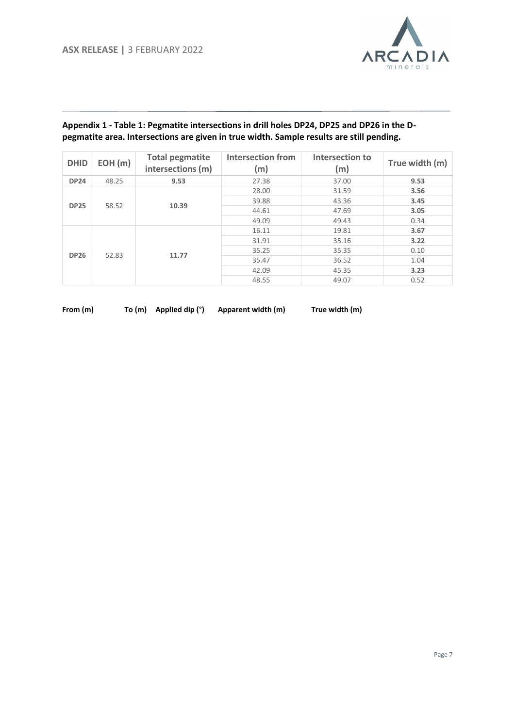

#### **Appendix 1 - Table 1: Pegmatite intersections in drill holes DP24, DP25 and DP26 in the Dpegmatite area. Intersections are given in true width. Sample results are still pending.**

| <b>DHID</b> | EOH(m) | <b>Total pegmatite</b><br>intersections (m) | <b>Intersection from</b><br>(m) | Intersection to<br>(m) | True width (m) |
|-------------|--------|---------------------------------------------|---------------------------------|------------------------|----------------|
| <b>DP24</b> | 48.25  | 9.53                                        | 27.38                           | 37.00                  | 9.53           |
|             |        |                                             | 28.00                           | 31.59                  | 3.56           |
| <b>DP25</b> | 58.52  | 10.39                                       | 39.88                           | 43.36                  | 3.45           |
|             |        |                                             | 44.61                           | 47.69                  | 3.05           |
|             |        |                                             | 49.09                           | 49.43                  | 0.34           |
|             |        |                                             | 16.11                           | 19.81                  | 3.67           |
|             |        |                                             | 31.91                           | 35.16                  | 3.22           |
| <b>DP26</b> |        | 11.77                                       | 35.25                           | 35.35                  | 0.10           |
|             | 52.83  |                                             | 35.47                           | 36.52                  | 1.04           |
|             |        |                                             | 42.09                           | 45.35                  | 3.23           |
|             |        |                                             | 48.55                           | 49.07                  | 0.52           |

| From (m) |  |
|----------|--|
|----------|--|

**From (m) To (m) Applied dip (°) Apparent width (m) True width (m)**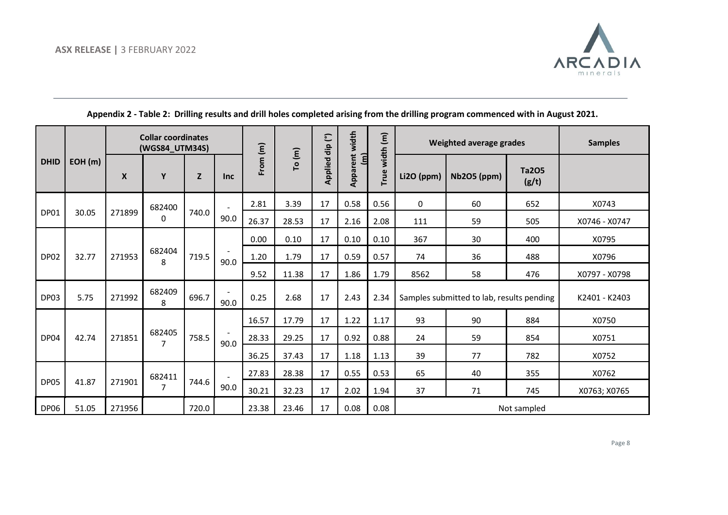

|             |        |        | <b>Collar coordinates</b><br>(WGS84 UTM34S) |       |            |          |        | dip (°)        | width                       | width (m) |            | Weighted average grades                   |                       | <b>Samples</b> |
|-------------|--------|--------|---------------------------------------------|-------|------------|----------|--------|----------------|-----------------------------|-----------|------------|-------------------------------------------|-----------------------|----------------|
| <b>DHID</b> | EOH(m) | X      | Y                                           | Z     | <b>Inc</b> | From (m) | To (m) | <b>Applied</b> | Apparent<br>$\widehat{\Xi}$ | True      | Li2O (ppm) | <b>Nb2O5 (ppm)</b>                        | <b>Ta2O5</b><br>(g/t) |                |
|             |        |        | 682400                                      |       |            | 2.81     | 3.39   | 17             | 0.58                        | 0.56      | $\Omega$   | 60                                        | 652                   | X0743          |
| <b>DP01</b> | 30.05  | 271899 | 0                                           | 740.0 | 90.0       | 26.37    | 28.53  | 17             | 2.16                        | 2.08      | 111        | 59                                        | 505                   | X0746 - X0747  |
|             |        |        |                                             |       |            | 0.00     | 0.10   | 17             | 0.10                        | 0.10      | 367        | 30                                        | 400                   | X0795          |
| DP02        | 32.77  | 271953 | 682404<br>8                                 | 719.5 | 90.0       | 1.20     | 1.79   | 17             | 0.59                        | 0.57      | 74         | 36                                        | 488                   | X0796          |
|             |        |        |                                             |       |            | 9.52     | 11.38  | 17             | 1.86                        | 1.79      | 8562       | 58                                        | 476                   | X0797 - X0798  |
| DP03        | 5.75   | 271992 | 682409<br>8                                 | 696.7 | 90.0       | 0.25     | 2.68   | 17             | 2.43                        | 2.34      |            | Samples submitted to lab, results pending |                       | K2401 - K2403  |
|             |        |        |                                             |       |            | 16.57    | 17.79  | 17             | 1.22                        | 1.17      | 93         | 90                                        | 884                   | X0750          |
| DP04        | 42.74  | 271851 | 682405<br>$\overline{7}$                    | 758.5 | 90.0       | 28.33    | 29.25  | 17             | 0.92                        | 0.88      | 24         | 59                                        | 854                   | X0751          |
|             |        |        |                                             |       |            | 36.25    | 37.43  | 17             | 1.18                        | 1.13      | 39         | 77                                        | 782                   | X0752          |
|             |        |        | 682411                                      |       |            | 27.83    | 28.38  | 17             | 0.55                        | 0.53      | 65         | 40                                        | 355                   | X0762          |
| DP05        | 41.87  | 271901 | $\overline{7}$                              | 744.6 | 90.0       | 30.21    | 32.23  | 17             | 2.02                        | 1.94      | 37         | 71                                        | 745                   | X0763; X0765   |
| DP06        | 51.05  | 271956 |                                             | 720.0 |            | 23.38    | 23.46  | 17             | 0.08                        | 0.08      |            |                                           | Not sampled           |                |

**Appendix 2 - Table 2: Drilling results and drill holes completed arising from the drilling program commenced with in August 2021.**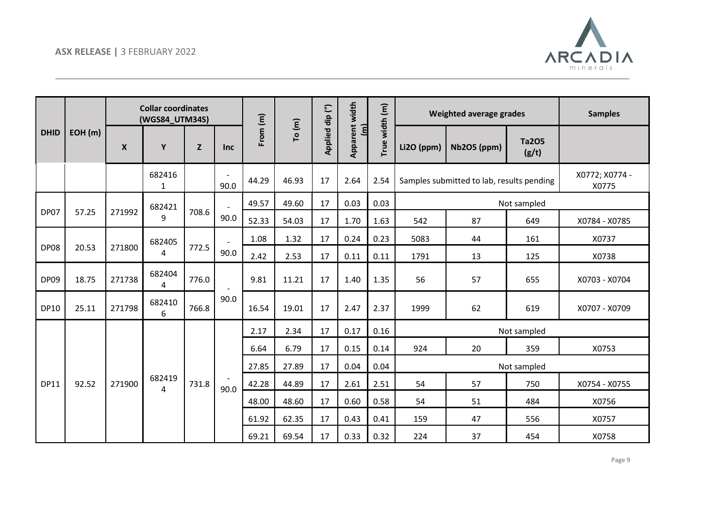

|             |        |        |             | <b>Collar coordinates</b><br>(WGS84_UTM34S) |                |          |        |                 | width                               |                | Weighted average grades |                                           |                       | <b>Samples</b>          |
|-------------|--------|--------|-------------|---------------------------------------------|----------------|----------|--------|-----------------|-------------------------------------|----------------|-------------------------|-------------------------------------------|-----------------------|-------------------------|
| <b>DHID</b> | EOH(m) | X      | Y           | Z                                           | Inc            | From (m) | To (m) | Applied dip (°) | Apparent<br>$\overline{\mathsf{H}}$ | True width (m) | Li2O (ppm)              | <b>Nb2O5 (ppm)</b>                        | <b>Ta2O5</b><br>(g/t) |                         |
|             |        |        | 682416<br>1 |                                             | 90.0           | 44.29    | 46.93  | 17              | 2.64                                | 2.54           |                         | Samples submitted to lab, results pending |                       | X0772; X0774 -<br>X0775 |
|             |        |        | 682421      |                                             |                | 49.57    | 49.60  | 17              | 0.03                                | 0.03           |                         |                                           | Not sampled           |                         |
| DP07        | 57.25  | 271992 | 9           | 708.6                                       | 90.0           | 52.33    | 54.03  | 17              | 1.70                                | 1.63           | 542                     | 87                                        | 649                   | X0784 - X0785           |
|             |        |        | 682405      |                                             | $\blacksquare$ | 1.08     | 1.32   | 17              | 0.24                                | 0.23           | 5083                    | 44                                        | 161                   | X0737                   |
| <b>DP08</b> | 20.53  | 271800 | 4           | 772.5                                       | 90.0           | 2.42     | 2.53   | 17              | 0.11                                | 0.11           | 1791                    | 13                                        | 125                   | X0738                   |
| DP09        | 18.75  | 271738 | 682404<br>4 | 776.0                                       |                | 9.81     | 11.21  | 17              | 1.40                                | 1.35           | 56                      | 57                                        | 655                   | X0703 - X0704           |
| <b>DP10</b> | 25.11  | 271798 | 682410<br>6 | 766.8                                       | 90.0           | 16.54    | 19.01  | 17              | 2.47                                | 2.37           | 1999                    | 62                                        | 619                   | X0707 - X0709           |
|             |        |        |             |                                             |                | 2.17     | 2.34   | 17              | 0.17                                | 0.16           |                         |                                           | Not sampled           |                         |
|             |        |        |             |                                             |                | 6.64     | 6.79   | 17              | 0.15                                | 0.14           | 924                     | 20                                        | 359                   | X0753                   |
|             |        |        |             |                                             |                | 27.85    | 27.89  | 17              | 0.04                                | 0.04           |                         |                                           | Not sampled           |                         |
| <b>DP11</b> | 92.52  | 271900 | 682419<br>4 | 731.8                                       | 90.0           | 42.28    | 44.89  | 17              | 2.61                                | 2.51           | 54                      | 57                                        | 750                   | X0754 - X0755           |
|             |        |        |             |                                             |                | 48.00    | 48.60  | 17              | 0.60                                | 0.58           | 54                      | 51                                        | 484                   | X0756                   |
|             |        |        |             |                                             |                | 61.92    | 62.35  | 17              | 0.43                                | 0.41           | 159                     | 47                                        | 556                   | X0757                   |
|             |        |        |             |                                             |                | 69.21    | 69.54  | 17              | 0.33                                | 0.32           | 224                     | 37                                        | 454                   | X0758                   |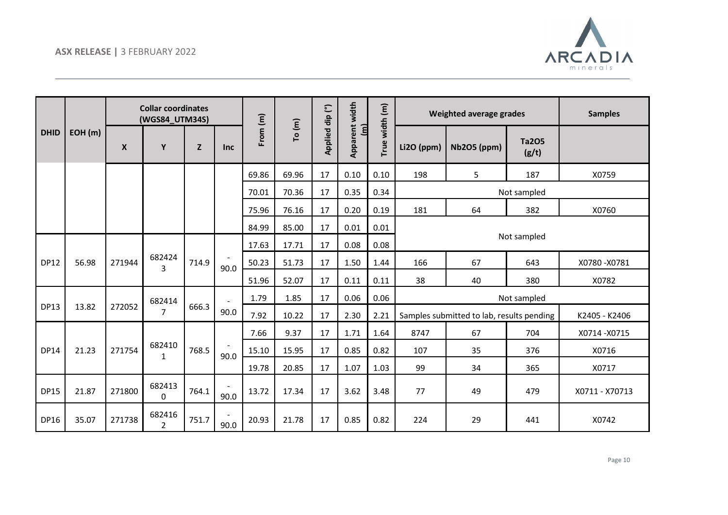

|             |        |                  | <b>Collar coordinates</b><br>(WGS84_UTM34S) |       |      |          |        |                 | width                      |                | Weighted average grades<br><b>Samples</b> |                                           |                       |                |
|-------------|--------|------------------|---------------------------------------------|-------|------|----------|--------|-----------------|----------------------------|----------------|-------------------------------------------|-------------------------------------------|-----------------------|----------------|
| <b>DHID</b> | EOH(m) | $\boldsymbol{X}$ | Y                                           | Z     | Inc  | From (m) | To (m) | Applied dip (°) | Apparent<br>$\overline{a}$ | True width (m) | Li2O (ppm)                                | Nb2O5 (ppm)                               | <b>Ta2O5</b><br>(g/t) |                |
|             |        |                  |                                             |       |      | 69.86    | 69.96  | 17              | 0.10                       | 0.10           | 198                                       | 5                                         | 187                   | X0759          |
|             |        |                  |                                             |       |      | 70.01    | 70.36  | 17              | 0.35                       | 0.34           |                                           |                                           | Not sampled           |                |
|             |        |                  |                                             |       |      | 75.96    | 76.16  | 17              | 0.20                       | 0.19           | 181                                       | 64                                        | 382                   | X0760          |
|             |        |                  |                                             |       |      | 84.99    | 85.00  | 17              | 0.01                       | 0.01           |                                           |                                           |                       |                |
|             |        |                  |                                             |       |      | 17.63    | 17.71  | 17              | 0.08                       | 0.08           |                                           |                                           | Not sampled           |                |
| <b>DP12</b> | 56.98  | 271944           | 682424<br>3                                 | 714.9 | 90.0 | 50.23    | 51.73  | 17              | 1.50                       | 1.44           | 166                                       | 67                                        | 643                   | X0780-X0781    |
|             |        |                  |                                             |       |      | 51.96    | 52.07  | 17              | 0.11                       | 0.11           | 38                                        | 40                                        | 380                   | X0782          |
|             |        |                  | 682414                                      |       |      | 1.79     | 1.85   | 17              | 0.06                       | 0.06           |                                           |                                           | Not sampled           |                |
| <b>DP13</b> | 13.82  | 272052           | 7                                           | 666.3 | 90.0 | 7.92     | 10.22  | 17              | 2.30                       | 2.21           |                                           | Samples submitted to lab, results pending |                       | K2405 - K2406  |
|             |        |                  |                                             |       |      | 7.66     | 9.37   | 17              | 1.71                       | 1.64           | 8747                                      | 67                                        | 704                   | X0714-X0715    |
| <b>DP14</b> | 21.23  | 271754           | 682410<br>1                                 | 768.5 | 90.0 | 15.10    | 15.95  | 17              | 0.85                       | 0.82           | 107                                       | 35                                        | 376                   | X0716          |
|             |        |                  |                                             |       |      | 19.78    | 20.85  | 17              | 1.07                       | 1.03           | 99                                        | 34                                        | 365                   | X0717          |
| <b>DP15</b> | 21.87  | 271800           | 682413<br>$\Omega$                          | 764.1 | 90.0 | 13.72    | 17.34  | 17              | 3.62                       | 3.48           | 77                                        | 49                                        | 479                   | X0711 - X70713 |
| <b>DP16</b> | 35.07  | 271738           | 682416<br>$\overline{2}$                    | 751.7 | 90.0 | 20.93    | 21.78  | 17              | 0.85                       | 0.82           | 224                                       | 29                                        | 441                   | X0742          |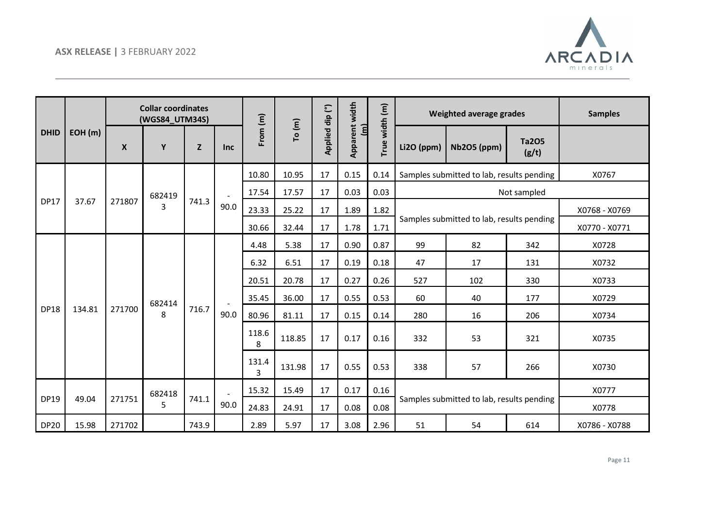

|             |        |                  | <b>Collar coordinates</b><br>(WGS84_UTM34S) |       |      |            |        | Applied dip (°) | width                      |                                                   |            | Weighted average grades                   |                       | <b>Samples</b> |
|-------------|--------|------------------|---------------------------------------------|-------|------|------------|--------|-----------------|----------------------------|---------------------------------------------------|------------|-------------------------------------------|-----------------------|----------------|
| <b>DHID</b> | EOH(m) | $\boldsymbol{X}$ | Y                                           | Z     | Inc  | From $(m)$ | To (m) |                 | Apparent<br>$\overline{a}$ | True width (m)                                    | Li2O (ppm) | <b>Nb2O5 (ppm)</b>                        | <b>Ta2O5</b><br>(g/t) |                |
|             |        |                  |                                             |       |      | 10.80      | 10.95  | 17              | 0.15                       | 0.14                                              |            | Samples submitted to lab, results pending |                       | X0767          |
|             |        |                  | 682419                                      |       |      | 17.54      | 17.57  | 17              | 0.03                       | 0.03                                              |            |                                           | Not sampled           |                |
| <b>DP17</b> | 37.67  | 271807           | 3                                           | 741.3 | 90.0 | 23.33      | 25.22  | 17              | 1.89                       | 1.82                                              |            |                                           |                       | X0768 - X0769  |
|             |        |                  |                                             |       |      | 30.66      | 32.44  | 17              | 1.78                       | 1.71                                              |            | Samples submitted to lab, results pending |                       | X0770 - X0771  |
|             |        |                  |                                             |       |      | 4.48       | 5.38   | 17              | 0.90                       | 0.87                                              | 99         | 82                                        | 342                   | X0728          |
|             |        |                  |                                             |       |      | 6.32       | 6.51   | 17              | 0.19                       | 0.18                                              | 47         | 17                                        | 131                   | X0732          |
|             |        |                  |                                             |       |      | 20.51      | 20.78  | 17              | 0.27                       | 0.26                                              | 527        | 102                                       | 330                   | X0733          |
|             |        |                  | 682414                                      |       |      | 35.45      | 36.00  | 17              | 0.55                       | 0.53                                              | 60         | 40                                        | 177                   | X0729          |
| <b>DP18</b> | 134.81 | 271700           | 8                                           | 716.7 | 90.0 | 80.96      | 81.11  | 17              | 0.15                       | 0.14                                              | 280        | 16                                        | 206                   | X0734          |
|             |        |                  |                                             |       |      | 118.6<br>8 | 118.85 | 17              | 0.17                       | 0.16                                              | 332        | 53                                        | 321                   | X0735          |
|             |        |                  |                                             |       |      | 131.4<br>3 | 131.98 | 17              | 0.55                       | 0.53                                              | 338        | 57                                        | 266                   | X0730          |
|             |        |                  | 682418                                      |       |      | 15.32      | 15.49  | 17              | 0.17                       | 0.16                                              |            |                                           |                       | X0777          |
| <b>DP19</b> | 49.04  | 271751           | 5                                           | 741.1 | 90.0 | 24.83      | 24.91  | 17              | 0.08                       | Samples submitted to lab, results pending<br>0.08 |            | X0778                                     |                       |                |
| <b>DP20</b> | 15.98  | 271702           |                                             | 743.9 |      | 2.89       | 5.97   | 17              | 3.08                       | 2.96                                              | 51         | 54                                        | 614                   | X0786 - X0788  |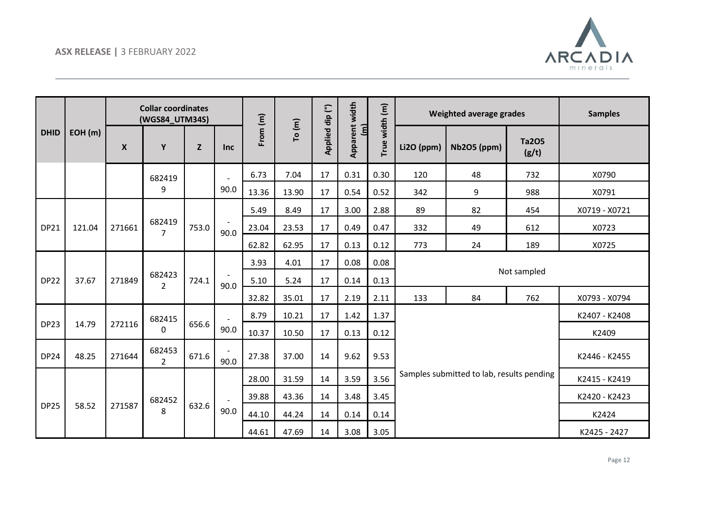

|             |        |                  | <b>Collar coordinates</b><br>(WGS84_UTM34S) |       |            |            |        |                                                     |              |                | Weighted average grades                   |                    | <b>Samples</b>        |               |
|-------------|--------|------------------|---------------------------------------------|-------|------------|------------|--------|-----------------------------------------------------|--------------|----------------|-------------------------------------------|--------------------|-----------------------|---------------|
| <b>DHID</b> | EOH(m) | $\boldsymbol{X}$ | Y                                           | Z     | <b>Inc</b> | From $(m)$ | To (m) | Apparent width<br>Applied dip (°)<br>$\overline{a}$ |              | True width (m) | Li2O (ppm)                                | <b>Nb2O5 (ppm)</b> | <b>Ta2O5</b><br>(g/t) |               |
|             |        |                  | 682419                                      |       |            | 6.73       | 7.04   | 17                                                  | 0.31         | 0.30           | 120                                       | 48                 | 732                   | X0790         |
|             |        |                  | 9                                           |       | 90.0       | 13.36      | 13.90  | 17                                                  | 0.54         | 0.52           | 342                                       | 9                  | 988                   | X0791         |
|             |        |                  |                                             |       |            | 5.49       | 8.49   | 17                                                  | 3.00         | 2.88           | 89                                        | 82                 | 454                   | X0719 - X0721 |
| <b>DP21</b> | 121.04 | 271661           | 682419<br>$\overline{7}$                    | 753.0 | 90.0       | 23.04      | 23.53  | 17                                                  | 0.49         | 0.47           | 332                                       | 49                 | 612                   | X0723         |
|             |        |                  |                                             |       |            | 62.82      | 62.95  | 17                                                  | 0.13         | 0.12           | 773                                       | 24                 | 189                   | X0725         |
|             |        |                  |                                             |       |            | 3.93       | 4.01   | 17                                                  | 0.08         | 0.08           |                                           |                    |                       |               |
| <b>DP22</b> | 37.67  | 271849           | 682423<br>$\overline{2}$                    | 724.1 |            | 5.10       | 5.24   | 17                                                  | 0.14         | 0.13           |                                           |                    | Not sampled           |               |
|             |        |                  |                                             |       | 90.0       | 32.82      | 35.01  | 17                                                  | 2.19         | 2.11           | 133                                       | 84                 | 762                   | X0793 - X0794 |
|             |        |                  | 682415                                      |       |            | 8.79       | 10.21  | 17                                                  | 1.42         | 1.37           |                                           |                    |                       | K2407 - K2408 |
| <b>DP23</b> | 14.79  | 272116           | 0                                           | 656.6 | 90.0       | 10.37      | 10.50  | 17                                                  | 0.13         | 0.12           |                                           |                    |                       | K2409         |
| <b>DP24</b> | 48.25  | 271644           | 682453<br>2                                 | 671.6 | 90.0       | 27.38      | 37.00  | 14                                                  | 9.62         | 9.53           | K2446 - K2455                             |                    |                       |               |
|             |        |                  |                                             |       |            | 28.00      | 31.59  | 14                                                  | 3.59         | 3.56           | Samples submitted to lab, results pending |                    |                       | K2415 - K2419 |
|             |        |                  | 682452                                      |       |            | 39.88      | 43.36  | 14                                                  | 3.48         | 3.45           |                                           |                    |                       | K2420 - K2423 |
| <b>DP25</b> | 58.52  | 271587           | 8                                           | 632.6 | 90.0       | 44.10      | 44.24  | 14                                                  | 0.14         | 0.14           |                                           |                    |                       | K2424         |
|             |        |                  |                                             |       |            | 44.61      | 47.69  | 14                                                  | 3.08<br>3.05 |                | K2425 - 2427                              |                    |                       |               |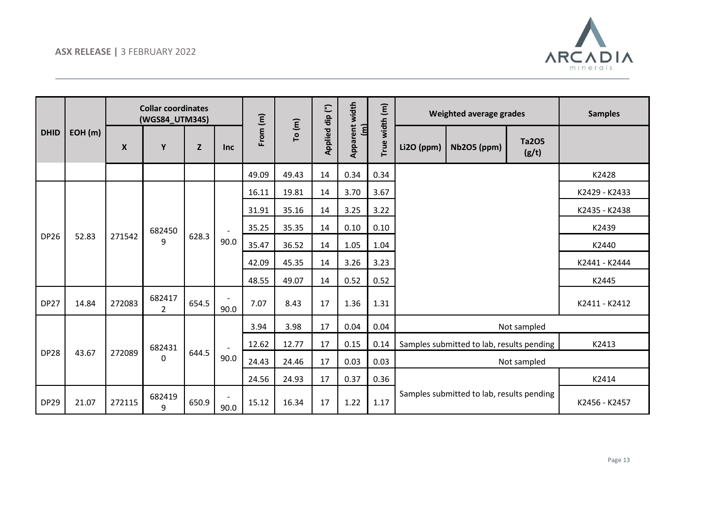

|             |        |                  | <b>Collar coordinates</b><br>(WGS84_UTM34S) |       |            |          |        |                 |                                           |                |            | Weighted average grades                   |                       | <b>Samples</b> |
|-------------|--------|------------------|---------------------------------------------|-------|------------|----------|--------|-----------------|-------------------------------------------|----------------|------------|-------------------------------------------|-----------------------|----------------|
| <b>DHID</b> | EOH(m) | $\boldsymbol{X}$ | Y                                           | Z     | <b>Inc</b> | From (m) | To (m) | Applied dip (°) | Apparent width<br>$\overline{\mathbf{d}}$ | True width (m) | Li2O (ppm) | Nb2O5 (ppm)                               | <b>Ta2O5</b><br>(g/t) |                |
|             |        |                  |                                             |       |            | 49.09    | 49.43  | 14              | 0.34                                      | 0.34           |            |                                           |                       | K2428          |
|             |        |                  |                                             |       |            | 16.11    | 19.81  | 14              | 3.70                                      | 3.67           |            |                                           |                       | K2429 - K2433  |
|             |        |                  |                                             |       |            | 31.91    | 35.16  | 14              | 3.25                                      | 3.22           |            |                                           |                       | K2435 - K2438  |
|             |        |                  | 682450                                      |       |            | 35.25    | 35.35  | 14              | 0.10                                      | 0.10           |            |                                           |                       | K2439          |
| <b>DP26</b> | 52.83  | 271542           | 9                                           | 628.3 | 90.0       | 35.47    | 36.52  | 14              | 1.05                                      | 1.04           |            |                                           |                       | K2440          |
|             |        |                  |                                             |       |            | 42.09    | 45.35  | 14              | 3.26                                      | 3.23           |            |                                           |                       | K2441 - K2444  |
|             |        |                  |                                             |       |            | 48.55    | 49.07  | 14              | 0.52                                      | 0.52           |            |                                           |                       | K2445          |
| <b>DP27</b> | 14.84  | 272083           | 682417<br>2                                 | 654.5 | 90.0       | 7.07     | 8.43   | 17              | 1.36                                      | 1.31           |            |                                           |                       | K2411 - K2412  |
|             |        |                  |                                             |       |            | 3.94     | 3.98   | 17              | 0.04                                      | 0.04           |            |                                           | Not sampled           |                |
|             |        |                  | 682431                                      |       |            | 12.62    | 12.77  | 17              | 0.15                                      | 0.14           |            | Samples submitted to lab, results pending |                       | K2413          |
| <b>DP28</b> | 43.67  | 272089           | $\Omega$                                    | 644.5 | 90.0       | 24.43    | 24.46  | 17              | 0.03                                      | 0.03           |            |                                           | Not sampled           |                |
|             |        |                  |                                             |       |            | 24.56    | 24.93  | 17              | 0.37                                      | 0.36           |            |                                           |                       | K2414          |
| <b>DP29</b> | 21.07  | 272115           | 682419<br>9                                 | 650.9 | 90.0       | 15.12    | 16.34  | 17              | 1.22                                      | 1.17           |            | Samples submitted to lab, results pending |                       | K2456 - K2457  |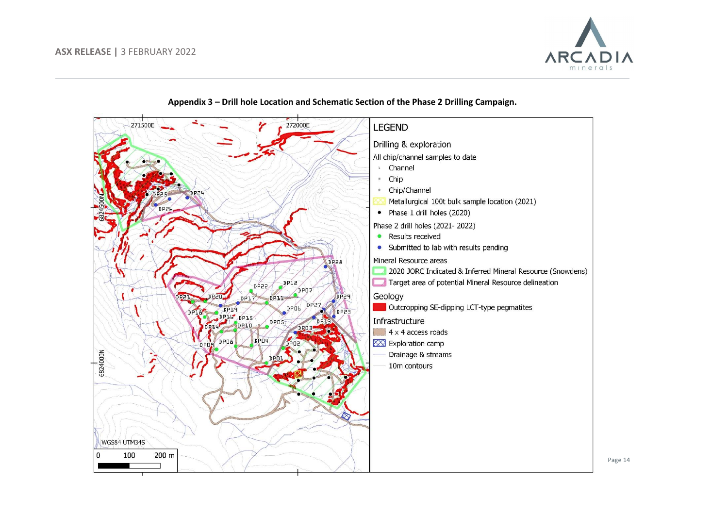





Page 14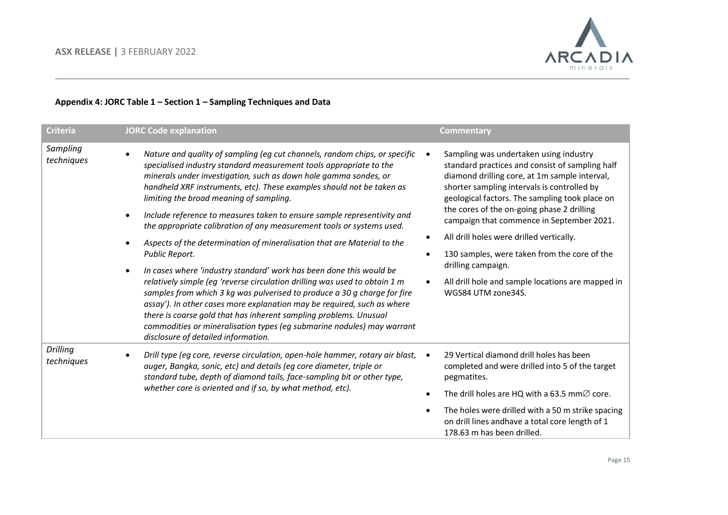

## **Appendix 4: JORC Table 1 – Section 1 – Sampling Techniques and Data**

| <b>Criteria</b>        | <b>JORC Code explanation</b>                                                                                                                                                                                                                                                                                                                                                                                                                                                                                                                                                                                                                                                                                                                                                                                                                                                                                                                                                                                                                                                                | <b>Commentary</b>                                                                                                                                                                                                                                                                                                                                                                                                                                                                                                                   |
|------------------------|---------------------------------------------------------------------------------------------------------------------------------------------------------------------------------------------------------------------------------------------------------------------------------------------------------------------------------------------------------------------------------------------------------------------------------------------------------------------------------------------------------------------------------------------------------------------------------------------------------------------------------------------------------------------------------------------------------------------------------------------------------------------------------------------------------------------------------------------------------------------------------------------------------------------------------------------------------------------------------------------------------------------------------------------------------------------------------------------|-------------------------------------------------------------------------------------------------------------------------------------------------------------------------------------------------------------------------------------------------------------------------------------------------------------------------------------------------------------------------------------------------------------------------------------------------------------------------------------------------------------------------------------|
| Sampling<br>techniques | Nature and quality of sampling (eg cut channels, random chips, or specific<br>specialised industry standard measurement tools appropriate to the<br>minerals under investigation, such as down hole gamma sondes, or<br>handheld XRF instruments, etc). These examples should not be taken as<br>limiting the broad meaning of sampling.<br>Include reference to measures taken to ensure sample representivity and<br>the appropriate calibration of any measurement tools or systems used.<br>Aspects of the determination of mineralisation that are Material to the<br>Public Report.<br>In cases where 'industry standard' work has been done this would be<br>relatively simple (eg 'reverse circulation drilling was used to obtain 1 m<br>samples from which 3 kg was pulverised to produce a 30 g charge for fire<br>assay'). In other cases more explanation may be required, such as where<br>there is coarse gold that has inherent sampling problems. Unusual<br>commodities or mineralisation types (eg submarine nodules) may warrant<br>disclosure of detailed information. | Sampling was undertaken using industry<br>standard practices and consist of sampling half<br>diamond drilling core, at 1m sample interval,<br>shorter sampling intervals is controlled by<br>geological factors. The sampling took place on<br>the cores of the on-going phase 2 drilling<br>campaign that commence in September 2021.<br>All drill holes were drilled vertically.<br>130 samples, were taken from the core of the<br>drilling campaign.<br>All drill hole and sample locations are mapped in<br>WGS84 UTM zone34S. |
| Drilling<br>techniques | Drill type (eg core, reverse circulation, open-hole hammer, rotary air blast,<br>auger, Bangka, sonic, etc) and details (eg core diameter, triple or<br>standard tube, depth of diamond tails, face-sampling bit or other type,<br>whether core is oriented and if so, by what method, etc).                                                                                                                                                                                                                                                                                                                                                                                                                                                                                                                                                                                                                                                                                                                                                                                                | 29 Vertical diamond drill holes has been<br>completed and were drilled into 5 of the target<br>pegmatites.<br>The drill holes are HQ with a 63.5 mm $\varnothing$ core.<br>The holes were drilled with a 50 m strike spacing<br>on drill lines andhave a total core length of 1<br>178.63 m has been drilled.                                                                                                                                                                                                                       |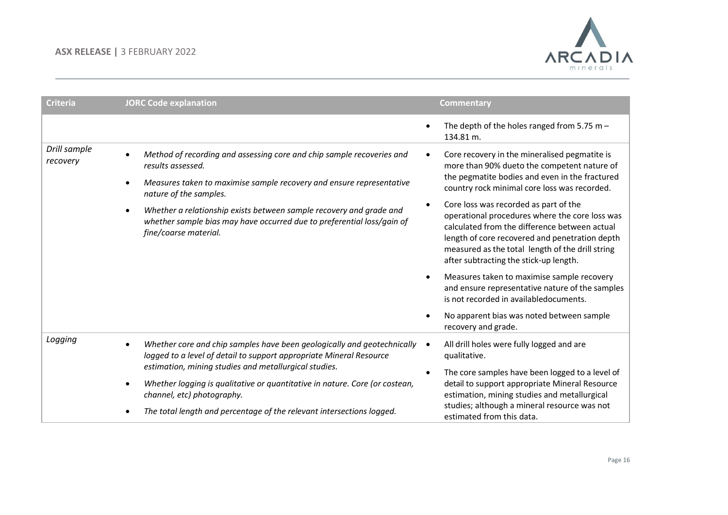

| <b>Criteria</b>                                                                                                                                                                                | <b>JORC Code explanation</b>                                                                                                                                                                            | <b>Commentary</b>                                                                                                                                                                                                                                                                        |
|------------------------------------------------------------------------------------------------------------------------------------------------------------------------------------------------|---------------------------------------------------------------------------------------------------------------------------------------------------------------------------------------------------------|------------------------------------------------------------------------------------------------------------------------------------------------------------------------------------------------------------------------------------------------------------------------------------------|
|                                                                                                                                                                                                |                                                                                                                                                                                                         | The depth of the holes ranged from 5.75 m $-$<br>134.81 m.                                                                                                                                                                                                                               |
| Drill sample<br>Method of recording and assessing core and chip sample recoveries and<br>recovery<br>results assessed.<br>Measures taken to maximise sample recovery and ensure representative | Core recovery in the mineralised pegmatite is<br>more than 90% dueto the competent nature of<br>the pegmatite bodies and even in the fractured                                                          |                                                                                                                                                                                                                                                                                          |
|                                                                                                                                                                                                | nature of the samples.                                                                                                                                                                                  | country rock minimal core loss was recorded.                                                                                                                                                                                                                                             |
|                                                                                                                                                                                                | Whether a relationship exists between sample recovery and grade and<br>whether sample bias may have occurred due to preferential loss/gain of<br>fine/coarse material.                                  | Core loss was recorded as part of the<br>operational procedures where the core loss was<br>calculated from the difference between actual<br>length of core recovered and penetration depth<br>measured as the total length of the drill string<br>after subtracting the stick-up length. |
|                                                                                                                                                                                                |                                                                                                                                                                                                         | Measures taken to maximise sample recovery<br>and ensure representative nature of the samples<br>is not recorded in availabledocuments.                                                                                                                                                  |
|                                                                                                                                                                                                |                                                                                                                                                                                                         | No apparent bias was noted between sample<br>recovery and grade.                                                                                                                                                                                                                         |
| Logging                                                                                                                                                                                        | Whether core and chip samples have been geologically and geotechnically<br>logged to a level of detail to support appropriate Mineral Resource<br>estimation, mining studies and metallurgical studies. | All drill holes were fully logged and are<br>qualitative.                                                                                                                                                                                                                                |
|                                                                                                                                                                                                |                                                                                                                                                                                                         | The core samples have been logged to a level of                                                                                                                                                                                                                                          |
|                                                                                                                                                                                                | Whether logging is qualitative or quantitative in nature. Core (or costean,<br>channel, etc) photography.                                                                                               | detail to support appropriate Mineral Resource<br>estimation, mining studies and metallurgical                                                                                                                                                                                           |
|                                                                                                                                                                                                | The total length and percentage of the relevant intersections logged.                                                                                                                                   | studies; although a mineral resource was not<br>estimated from this data.                                                                                                                                                                                                                |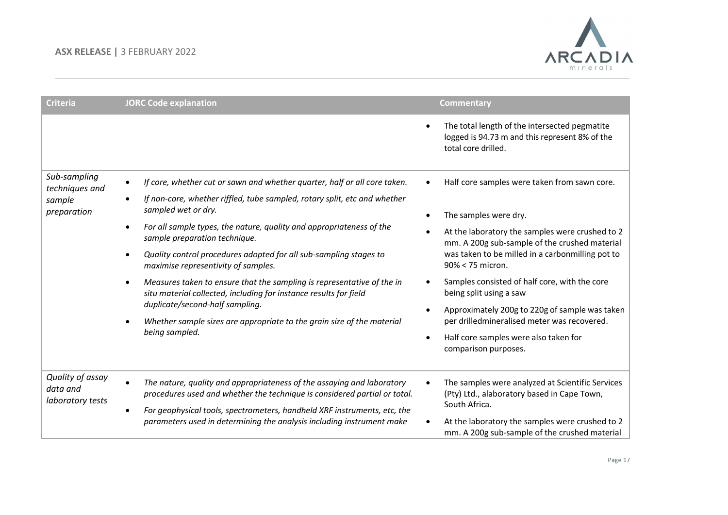

| <b>Criteria</b>                                  | <b>JORC Code explanation</b>                                                                                                                        | <b>Commentary</b>                                                                                                      |
|--------------------------------------------------|-----------------------------------------------------------------------------------------------------------------------------------------------------|------------------------------------------------------------------------------------------------------------------------|
|                                                  |                                                                                                                                                     | The total length of the intersected pegmatite<br>logged is 94.73 m and this represent 8% of the<br>total core drilled. |
| Sub-sampling<br>techniques and                   | If core, whether cut or sawn and whether quarter, half or all core taken.<br>$\bullet$                                                              | Half core samples were taken from sawn core.                                                                           |
| sample<br>preparation                            | If non-core, whether riffled, tube sampled, rotary split, etc and whether<br>sampled wet or dry.                                                    | The samples were dry.<br>$\bullet$                                                                                     |
|                                                  | For all sample types, the nature, quality and appropriateness of the<br>$\bullet$<br>sample preparation technique.                                  | At the laboratory the samples were crushed to 2<br>mm. A 200g sub-sample of the crushed material                       |
|                                                  | Quality control procedures adopted for all sub-sampling stages to<br>maximise representivity of samples.                                            | was taken to be milled in a carbonmilling pot to<br>90% < 75 micron.                                                   |
|                                                  | Measures taken to ensure that the sampling is representative of the in<br>situ material collected, including for instance results for field         | Samples consisted of half core, with the core<br>being split using a saw                                               |
|                                                  | duplicate/second-half sampling.<br>Whether sample sizes are appropriate to the grain size of the material                                           | Approximately 200g to 220g of sample was taken<br>per drilledmineralised meter was recovered.                          |
|                                                  | being sampled.                                                                                                                                      | Half core samples were also taken for<br>comparison purposes.                                                          |
| Quality of assay<br>data and<br>laboratory tests | The nature, quality and appropriateness of the assaying and laboratory<br>procedures used and whether the technique is considered partial or total. | The samples were analyzed at Scientific Services<br>(Pty) Ltd., alaboratory based in Cape Town,<br>South Africa.       |
|                                                  | For geophysical tools, spectrometers, handheld XRF instruments, etc, the<br>parameters used in determining the analysis including instrument make   | At the laboratory the samples were crushed to 2<br>mm. A 200g sub-sample of the crushed material                       |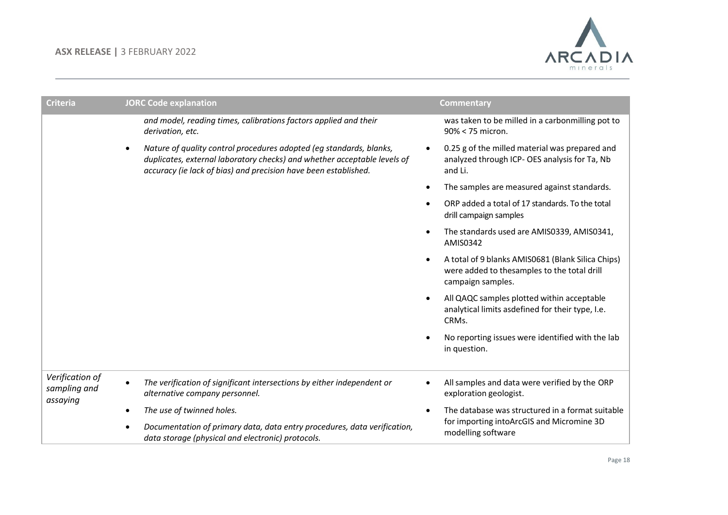

| <b>Criteria</b>                             | <b>JORC Code explanation</b>                                                                                                                                                                                       | <b>Commentary</b>                                                                                                     |
|---------------------------------------------|--------------------------------------------------------------------------------------------------------------------------------------------------------------------------------------------------------------------|-----------------------------------------------------------------------------------------------------------------------|
|                                             | and model, reading times, calibrations factors applied and their<br>derivation, etc.                                                                                                                               | was taken to be milled in a carbonmilling pot to<br>90% < 75 micron.                                                  |
|                                             | Nature of quality control procedures adopted (eg standards, blanks,<br>duplicates, external laboratory checks) and whether acceptable levels of<br>accuracy (ie lack of bias) and precision have been established. | 0.25 g of the milled material was prepared and<br>analyzed through ICP- OES analysis for Ta, Nb<br>and Li.            |
|                                             |                                                                                                                                                                                                                    | The samples are measured against standards.                                                                           |
|                                             |                                                                                                                                                                                                                    | ORP added a total of 17 standards. To the total<br>drill campaign samples                                             |
|                                             |                                                                                                                                                                                                                    | The standards used are AMIS0339, AMIS0341,<br>AMIS0342                                                                |
|                                             |                                                                                                                                                                                                                    | A total of 9 blanks AMIS0681 (Blank Silica Chips)<br>were added to thesamples to the total drill<br>campaign samples. |
|                                             |                                                                                                                                                                                                                    | All QAQC samples plotted within acceptable<br>analytical limits asdefined for their type, I.e.<br>CRMs.               |
|                                             |                                                                                                                                                                                                                    | No reporting issues were identified with the lab<br>in question.                                                      |
| Verification of<br>sampling and<br>assaying | The verification of significant intersections by either independent or<br>alternative company personnel.                                                                                                           | All samples and data were verified by the ORP<br>exploration geologist.                                               |
|                                             | The use of twinned holes.                                                                                                                                                                                          | The database was structured in a format suitable                                                                      |
|                                             | Documentation of primary data, data entry procedures, data verification,<br>data storage (physical and electronic) protocols.                                                                                      | for importing intoArcGIS and Micromine 3D<br>modelling software                                                       |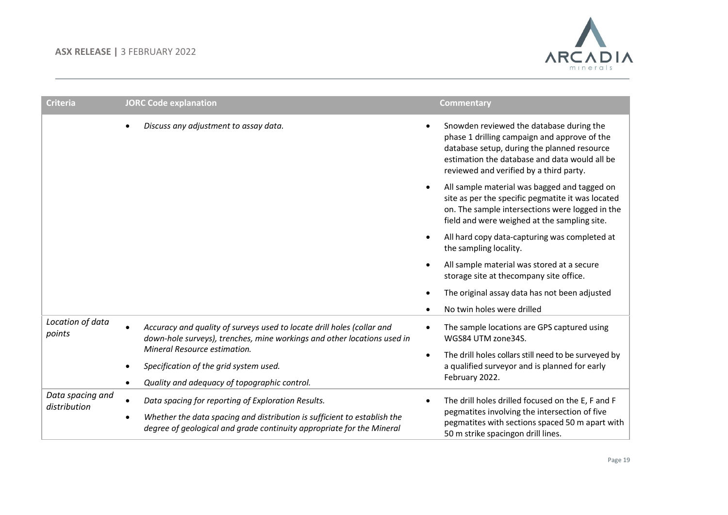

| <b>Criteria</b>                  | <b>JORC Code explanation</b>                                                                                                                      | <b>Commentary</b>                                                                                                                                                                                                                   |
|----------------------------------|---------------------------------------------------------------------------------------------------------------------------------------------------|-------------------------------------------------------------------------------------------------------------------------------------------------------------------------------------------------------------------------------------|
|                                  | Discuss any adjustment to assay data.                                                                                                             | Snowden reviewed the database during the<br>phase 1 drilling campaign and approve of the<br>database setup, during the planned resource<br>estimation the database and data would all be<br>reviewed and verified by a third party. |
|                                  |                                                                                                                                                   | All sample material was bagged and tagged on<br>site as per the specific pegmatite it was located<br>on. The sample intersections were logged in the<br>field and were weighed at the sampling site.                                |
|                                  |                                                                                                                                                   | All hard copy data-capturing was completed at<br>the sampling locality.                                                                                                                                                             |
|                                  |                                                                                                                                                   | All sample material was stored at a secure<br>storage site at thecompany site office.                                                                                                                                               |
|                                  |                                                                                                                                                   | The original assay data has not been adjusted                                                                                                                                                                                       |
|                                  |                                                                                                                                                   | No twin holes were drilled                                                                                                                                                                                                          |
| Location of data<br>points       | Accuracy and quality of surveys used to locate drill holes (collar and<br>down-hole surveys), trenches, mine workings and other locations used in | The sample locations are GPS captured using<br>WGS84 UTM zone34S.                                                                                                                                                                   |
|                                  | Mineral Resource estimation.                                                                                                                      | The drill holes collars still need to be surveyed by                                                                                                                                                                                |
|                                  | Specification of the grid system used.                                                                                                            | a qualified surveyor and is planned for early<br>February 2022.                                                                                                                                                                     |
| Data spacing and<br>distribution | Quality and adequacy of topographic control.                                                                                                      |                                                                                                                                                                                                                                     |
|                                  | Data spacing for reporting of Exploration Results.                                                                                                | The drill holes drilled focused on the E, F and F<br>$\bullet$                                                                                                                                                                      |
|                                  | Whether the data spacing and distribution is sufficient to establish the<br>degree of geological and grade continuity appropriate for the Mineral | pegmatites involving the intersection of five<br>pegmatites with sections spaced 50 m apart with<br>50 m strike spacingon drill lines.                                                                                              |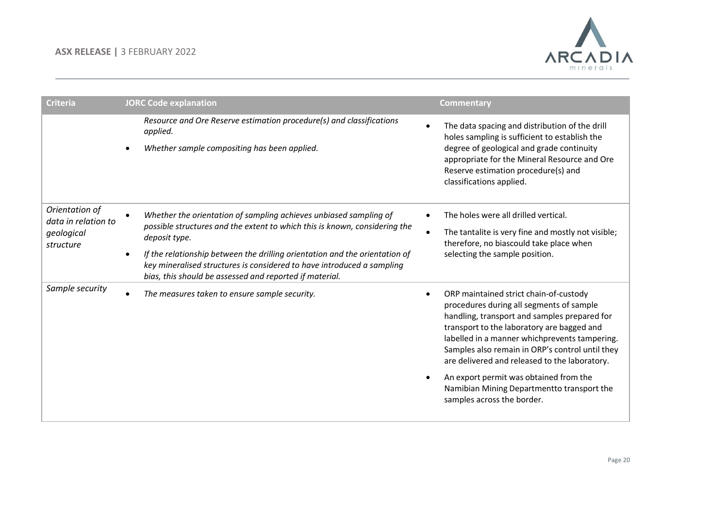

| <b>Criteria</b>                                                  | <b>JORC Code explanation</b>                                                                                                                                                                                                                                                                                                                                                         | <b>Commentary</b>                                                                                                                                                                                                                                                                                                                                                                                                                                           |
|------------------------------------------------------------------|--------------------------------------------------------------------------------------------------------------------------------------------------------------------------------------------------------------------------------------------------------------------------------------------------------------------------------------------------------------------------------------|-------------------------------------------------------------------------------------------------------------------------------------------------------------------------------------------------------------------------------------------------------------------------------------------------------------------------------------------------------------------------------------------------------------------------------------------------------------|
|                                                                  | Resource and Ore Reserve estimation procedure(s) and classifications<br>applied.<br>Whether sample compositing has been applied.                                                                                                                                                                                                                                                     | The data spacing and distribution of the drill<br>holes sampling is sufficient to establish the<br>degree of geological and grade continuity<br>appropriate for the Mineral Resource and Ore<br>Reserve estimation procedure(s) and<br>classifications applied.                                                                                                                                                                                             |
| Orientation of<br>data in relation to<br>geological<br>structure | Whether the orientation of sampling achieves unbiased sampling of<br>possible structures and the extent to which this is known, considering the<br>deposit type.<br>If the relationship between the drilling orientation and the orientation of<br>key mineralised structures is considered to have introduced a sampling<br>bias, this should be assessed and reported if material. | The holes were all drilled vertical.<br>The tantalite is very fine and mostly not visible;<br>therefore, no biascould take place when<br>selecting the sample position.                                                                                                                                                                                                                                                                                     |
| Sample security                                                  | The measures taken to ensure sample security.                                                                                                                                                                                                                                                                                                                                        | ORP maintained strict chain-of-custody<br>procedures during all segments of sample<br>handling, transport and samples prepared for<br>transport to the laboratory are bagged and<br>labelled in a manner whichprevents tampering.<br>Samples also remain in ORP's control until they<br>are delivered and released to the laboratory.<br>An export permit was obtained from the<br>Namibian Mining Departmentto transport the<br>samples across the border. |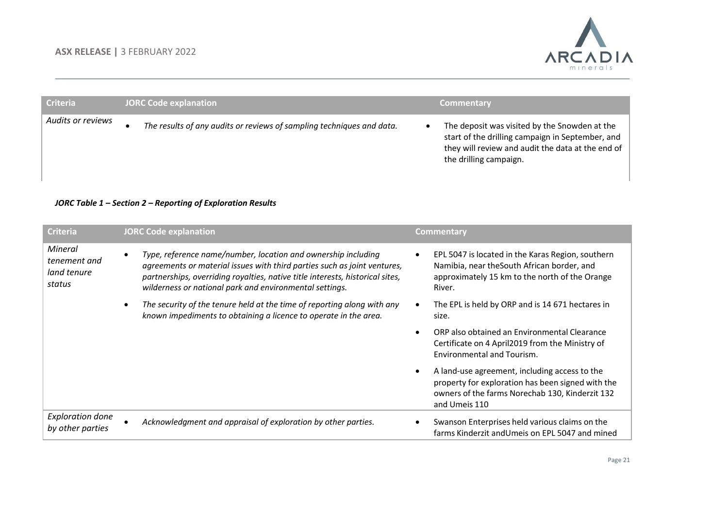

| Criteria          | <b>JORC Code explanation</b>                                          | <b>Commentary</b>                                                                                                                                                                |
|-------------------|-----------------------------------------------------------------------|----------------------------------------------------------------------------------------------------------------------------------------------------------------------------------|
| Audits or reviews | The results of any audits or reviews of sampling techniques and data. | The deposit was visited by the Snowden at the<br>start of the drilling campaign in September, and<br>they will review and audit the data at the end of<br>the drilling campaign. |

#### *JORC Table 1 – Section 2 – Reporting of Exploration Results*

| <b>Criteria</b>                                  |           | <b>JORC Code explanation</b>                                                                                                                                                                                                                                                          |           | <b>Commentary</b>                                                                                                                                                      |
|--------------------------------------------------|-----------|---------------------------------------------------------------------------------------------------------------------------------------------------------------------------------------------------------------------------------------------------------------------------------------|-----------|------------------------------------------------------------------------------------------------------------------------------------------------------------------------|
| Mineral<br>tenement and<br>land tenure<br>status | ٠         | Type, reference name/number, location and ownership including<br>agreements or material issues with third parties such as joint ventures,<br>partnerships, overriding royalties, native title interests, historical sites,<br>wilderness or national park and environmental settings. | ٠         | EPL 5047 is located in the Karas Region, southern<br>Namibia, near the South African border, and<br>approximately 15 km to the north of the Orange<br>River.           |
|                                                  | $\bullet$ | The security of the tenure held at the time of reporting along with any<br>known impediments to obtaining a licence to operate in the area.                                                                                                                                           |           | The EPL is held by ORP and is 14 671 hectares in<br>size.                                                                                                              |
|                                                  |           |                                                                                                                                                                                                                                                                                       | $\bullet$ | ORP also obtained an Environmental Clearance<br>Certificate on 4 April2019 from the Ministry of<br>Environmental and Tourism.                                          |
|                                                  |           |                                                                                                                                                                                                                                                                                       | $\bullet$ | A land-use agreement, including access to the<br>property for exploration has been signed with the<br>owners of the farms Norechab 130, Kinderzit 132<br>and Umeis 110 |
| <b>Exploration done</b><br>by other parties      |           | Acknowledgment and appraisal of exploration by other parties.                                                                                                                                                                                                                         |           | Swanson Enterprises held various claims on the<br>farms Kinderzit and Umeis on EPL 5047 and mined                                                                      |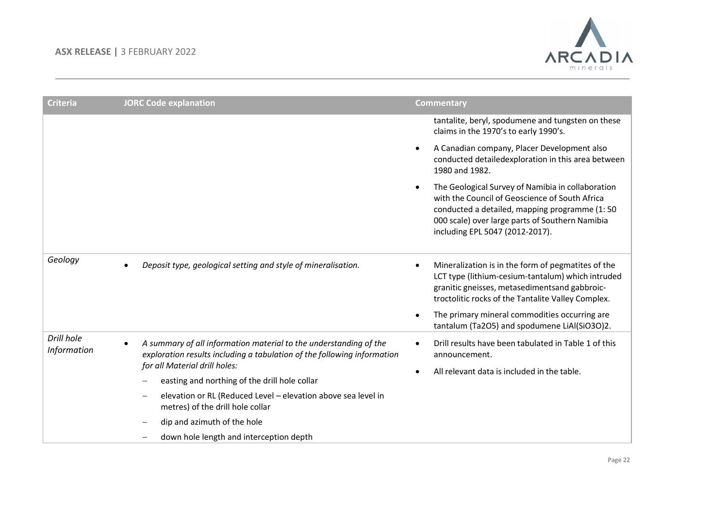

| <b>Criteria</b>           | <b>JORC Code explanation</b>                                                                                                                                                                                                                                                                                                                     | <b>Commentary</b>                                                                                                                                                                                                                                                                                                            |
|---------------------------|--------------------------------------------------------------------------------------------------------------------------------------------------------------------------------------------------------------------------------------------------------------------------------------------------------------------------------------------------|------------------------------------------------------------------------------------------------------------------------------------------------------------------------------------------------------------------------------------------------------------------------------------------------------------------------------|
|                           |                                                                                                                                                                                                                                                                                                                                                  | tantalite, beryl, spodumene and tungsten on these<br>claims in the 1970's to early 1990's.                                                                                                                                                                                                                                   |
|                           |                                                                                                                                                                                                                                                                                                                                                  | A Canadian company, Placer Development also<br>$\bullet$<br>conducted detailedexploration in this area between<br>1980 and 1982.                                                                                                                                                                                             |
|                           |                                                                                                                                                                                                                                                                                                                                                  | The Geological Survey of Namibia in collaboration<br>$\bullet$<br>with the Council of Geoscience of South Africa<br>conducted a detailed, mapping programme (1:50<br>000 scale) over large parts of Southern Namibia<br>including EPL 5047 (2012-2017).                                                                      |
| Geology                   | Deposit type, geological setting and style of mineralisation.                                                                                                                                                                                                                                                                                    | Mineralization is in the form of pegmatites of the<br>$\bullet$<br>LCT type (lithium-cesium-tantalum) which intruded<br>granitic gneisses, metasedimentsand gabbroic-<br>troctolitic rocks of the Tantalite Valley Complex.<br>The primary mineral commodities occurring are<br>tantalum (Ta2O5) and spodumene LiAl(SiO3O)2. |
| Drill hole<br>Information | A summary of all information material to the understanding of the<br>$\bullet$<br>exploration results including a tabulation of the following information<br>for all Material drill holes:<br>easting and northing of the drill hole collar<br>elevation or RL (Reduced Level - elevation above sea level in<br>metres) of the drill hole collar | Drill results have been tabulated in Table 1 of this<br>$\bullet$<br>announcement.<br>All relevant data is included in the table.                                                                                                                                                                                            |
|                           | dip and azimuth of the hole<br>down hole length and interception depth                                                                                                                                                                                                                                                                           |                                                                                                                                                                                                                                                                                                                              |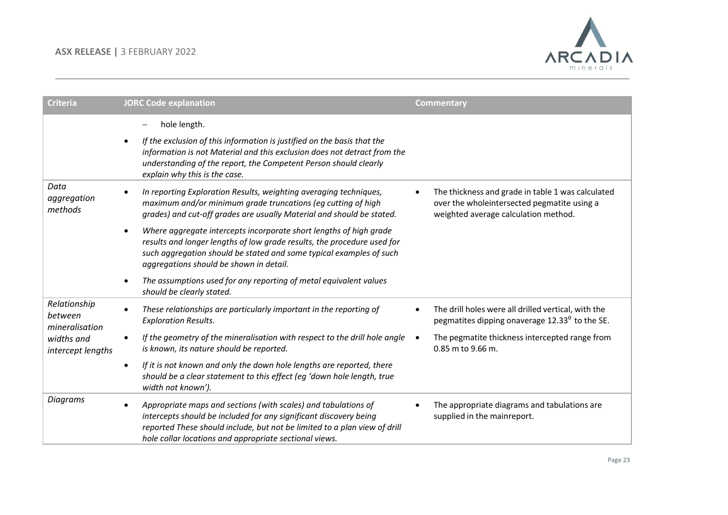

| <b>Criteria</b>                                                              | <b>JORC Code explanation</b>                                                                                                                                                                                                                                                            | <b>Commentary</b>                                                                                                                                     |
|------------------------------------------------------------------------------|-----------------------------------------------------------------------------------------------------------------------------------------------------------------------------------------------------------------------------------------------------------------------------------------|-------------------------------------------------------------------------------------------------------------------------------------------------------|
|                                                                              | hole length.                                                                                                                                                                                                                                                                            |                                                                                                                                                       |
|                                                                              | If the exclusion of this information is justified on the basis that the<br>$\bullet$<br>information is not Material and this exclusion does not detract from the<br>understanding of the report, the Competent Person should clearly<br>explain why this is the case.                   |                                                                                                                                                       |
| Data<br>aggregation<br>methods                                               | In reporting Exploration Results, weighting averaging techniques,<br>$\bullet$<br>maximum and/or minimum grade truncations (eg cutting of high<br>grades) and cut-off grades are usually Material and should be stated.                                                                 | The thickness and grade in table 1 was calculated<br>$\bullet$<br>over the wholeintersected pegmatite using a<br>weighted average calculation method. |
|                                                                              | Where aggregate intercepts incorporate short lengths of high grade<br>$\bullet$<br>results and longer lengths of low grade results, the procedure used for<br>such aggregation should be stated and some typical examples of such<br>aggregations should be shown in detail.            |                                                                                                                                                       |
|                                                                              | The assumptions used for any reporting of metal equivalent values<br>$\bullet$<br>should be clearly stated.                                                                                                                                                                             |                                                                                                                                                       |
| Relationship<br>between<br>mineralisation<br>widths and<br>intercept lengths | These relationships are particularly important in the reporting of<br>$\bullet$<br><b>Exploration Results.</b>                                                                                                                                                                          | The drill holes were all drilled vertical, with the<br>$\bullet$<br>pegmatites dipping onaverage $12.330$ to the SE.                                  |
|                                                                              | If the geometry of the mineralisation with respect to the drill hole angle<br>$\bullet$<br>is known, its nature should be reported.                                                                                                                                                     | The pegmatite thickness intercepted range from<br>$\bullet$<br>0.85 m to 9.66 m.                                                                      |
|                                                                              | If it is not known and only the down hole lengths are reported, there<br>$\bullet$<br>should be a clear statement to this effect (eg 'down hole length, true<br>width not known').                                                                                                      |                                                                                                                                                       |
| Diagrams                                                                     | Appropriate maps and sections (with scales) and tabulations of<br>$\bullet$<br>intercepts should be included for any significant discovery being<br>reported These should include, but not be limited to a plan view of drill<br>hole collar locations and appropriate sectional views. | The appropriate diagrams and tabulations are<br>supplied in the mainreport.                                                                           |